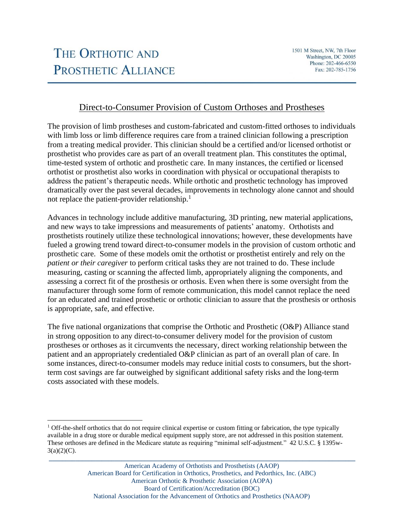# Direct-to-Consumer Provision of Custom Orthoses and Prostheses

The provision of limb prostheses and custom-fabricated and custom-fitted orthoses to individuals with limb loss or limb difference requires care from a trained clinician following a prescription from a treating medical provider. This clinician should be a certified and/or licensed orthotist or prosthetist who provides care as part of an overall treatment plan. This constitutes the optimal, time-tested system of orthotic and prosthetic care. In many instances, the certified or licensed orthotist or prosthetist also works in coordination with physical or occupational therapists to address the patient's therapeutic needs. While orthotic and prosthetic technology has improved dramatically over the past several decades, improvements in technology alone cannot and should not replace the patient-provider relationship.<sup>1</sup>

Advances in technology include additive manufacturing, 3D printing, new material applications, and new ways to take impressions and measurements of patients' anatomy. Orthotists and prosthetists routinely utilize these technological innovations; however, these developments have fueled a growing trend toward direct-to-consumer models in the provision of custom orthotic and prosthetic care. Some of these models omit the orthotist or prosthetist entirely and rely on the *patient or their caregiver* to perform critical tasks they are not trained to do. These include measuring, casting or scanning the affected limb, appropriately aligning the components, and assessing a correct fit of the prosthesis or orthosis. Even when there is some oversight from the manufacturer through some form of remote communication, this model cannot replace the need for an educated and trained prosthetic or orthotic clinician to assure that the prosthesis or orthosis is appropriate, safe, and effective.

The five national organizations that comprise the Orthotic and Prosthetic (O&P) Alliance stand in strong opposition to any direct-to-consumer delivery model for the provision of custom prostheses or orthoses as it circumvents the necessary, direct working relationship between the patient and an appropriately credentialed O&P clinician as part of an overall plan of care. In some instances, direct-to-consumer models may reduce initial costs to consumers, but the shortterm cost savings are far outweighed by significant additional safety risks and the long-term costs associated with these models.

**\_\_\_\_\_\_\_\_\_\_\_\_\_\_\_\_\_\_\_\_\_\_\_\_\_\_\_\_\_\_\_\_\_\_\_\_\_\_\_\_\_\_\_\_\_\_\_\_\_\_\_\_\_\_\_\_\_\_\_\_\_\_\_\_\_\_\_\_\_\_\_\_\_\_\_\_\_\_\_\_\_\_\_\_\_\_\_\_\_\_\_\_\_**

<sup>&</sup>lt;sup>1</sup> Off-the-shelf orthotics that do not require clinical expertise or custom fitting or fabrication, the type typically available in a drug store or durable medical equipment supply store, are not addressed in this position statement. These orthoses are defined in the Medicare statute as requiring "minimal self-adjustment." 42 U.S.C. § 1395w- $3(a)(2)(C)$ .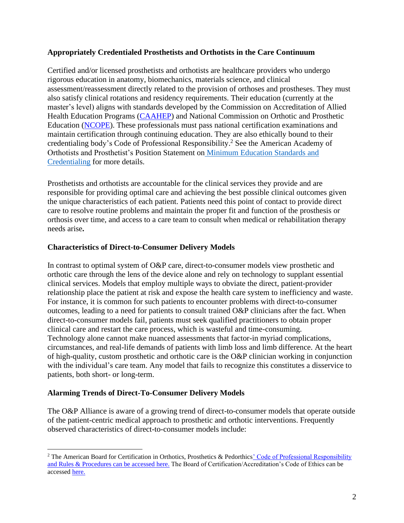## **Appropriately Credentialed Prosthetists and Orthotists in the Care Continuum**

Certified and/or licensed prosthetists and orthotists are healthcare providers who undergo rigorous education in anatomy, biomechanics, materials science, and clinical assessment/reassessment directly related to the provision of orthoses and prostheses. They must also satisfy clinical rotations and residency requirements. Their education (currently at the master's level) aligns with standards developed by the Commission on Accreditation of Allied Health Education Programs [\(CAAHEP\)](https://www.caahep.org/) and National Commission on Orthotic and Prosthetic Education [\(NCOPE\)](https://ncope.org/). These professionals must pass national certification examinations and maintain certification through continuing education. They are also ethically bound to their credentialing body's Code of Professional Responsibilit[y.](https://www.abcop.org/publication/the-code-of-professional-responsibility) <sup>2</sup> See the American Academy of Orthotists and Prosthetist's Position Statement on [Minimum Education Standards and](https://cdn.ymaws.com/www.oandp.org/resource/resmgr/Files/Policy_Statements/Min_Education.pdf) [Credentialing](https://cdn.ymaws.com/www.oandp.org/resource/resmgr/Files/Policy_Statements/Min_Education.pdf) for more details.

Prosthetists and orthotists are accountable for the clinical services they provide and are responsible for providing optimal care and achieving the best possible clinical outcomes given the unique characteristics of each patient. Patients need this point of contact to provide direct care to resolve routine problems and maintain the proper fit and function of the prosthesis or orthosis over time, and access to a care team to consult when medical or rehabilitation therapy needs arise**.**

## **Characteristics of Direct-to-Consumer Delivery Models**

In contrast to optimal system of O&P care, direct-to-consumer models view prosthetic and orthotic care through the lens of the device alone and rely on technology to supplant essential clinical services. Models that employ multiple ways to obviate the direct, patient-provider relationship place the patient at risk and expose the health care system to inefficiency and waste. For instance, it is common for such patients to encounter problems with direct-to-consumer outcomes, leading to a need for patients to consult trained O&P clinicians after the fact. When direct-to-consumer models fail, patients must seek qualified practitioners to obtain proper clinical care and restart the care process, which is wasteful and time-consuming. Technology alone cannot make nuanced assessments that factor-in myriad complications, circumstances, and real-life demands of patients with limb loss and limb difference. At the heart of high-quality, custom prosthetic and orthotic care is the O&P clinician working in conjunction with the individual's care team. Any model that fails to recognize this constitutes a disservice to patients, both short- or long-term.

## **Alarming Trends of Direct-To-Consumer Delivery Models**

The O&P Alliance is aware of a growing trend of direct-to-consumer models that operate outside of the patient-centric medical approach to prosthetic and orthotic interventions. Frequently observed characteristics of direct-to-consumer models include:

<sup>&</sup>lt;sup>2</sup> The American Board for Certification in Orthotics, Prosthetics & Pedorthics' Code of Professional Responsibility and Rules & Procedures can be accessed [here.](https://www.abcop.org/publication/the-code-of-professional-responsibility) The Board of Certification/Accreditation's Code of Ethics can be accessed [here.](https://www.bocusa.org/wp-content/uploads/Code_of_Ethics.pdf)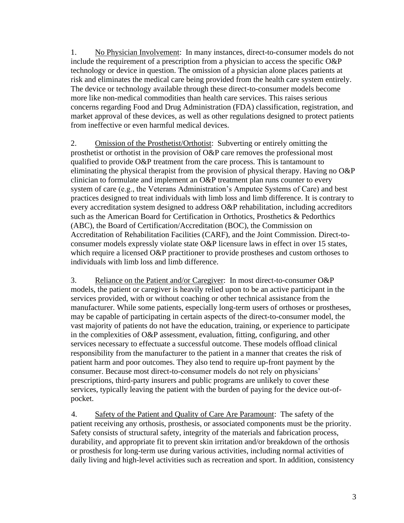1. No Physician Involvement: In many instances, direct-to-consumer models do not include the requirement of a prescription from a physician to access the specific O&P technology or device in question. The omission of a physician alone places patients at risk and eliminates the medical care being provided from the health care system entirely. The device or technology available through these direct-to-consumer models become more like non-medical commodities than health care services. This raises serious concerns regarding Food and Drug Administration (FDA) classification, registration, and market approval of these devices, as well as other regulations designed to protect patients from ineffective or even harmful medical devices.

2. Omission of the Prosthetist/Orthotist: Subverting or entirely omitting the prosthetist or orthotist in the provision of O&P care removes the professional most qualified to provide O&P treatment from the care process. This is tantamount to eliminating the physical therapist from the provision of physical therapy. Having no O&P clinician to formulate and implement an O&P treatment plan runs counter to every system of care (e.g., the Veterans Administration's Amputee Systems of Care) and best practices designed to treat individuals with limb loss and limb difference. It is contrary to every accreditation system designed to address O&P rehabilitation, including accreditors such as the American Board for Certification in Orthotics, Prosthetics & Pedorthics (ABC), the Board of Certification/Accreditation (BOC), the Commission on Accreditation of Rehabilitation Facilities (CARF), and the Joint Commission. Direct-toconsumer models expressly violate state O&P licensure laws in effect in over 15 states, which require a licensed O&P practitioner to provide prostheses and custom orthoses to individuals with limb loss and limb difference.

3. Reliance on the Patient and/or Caregiver: In most direct-to-consumer O&P models, the patient or caregiver is heavily relied upon to be an active participant in the services provided, with or without coaching or other technical assistance from the manufacturer. While some patients, especially long-term users of orthoses or prostheses, may be capable of participating in certain aspects of the direct-to-consumer model, the vast majority of patients do not have the education, training, or experience to participate in the complexities of O&P assessment, evaluation, fitting, configuring, and other services necessary to effectuate a successful outcome. These models offload clinical responsibility from the manufacturer to the patient in a manner that creates the risk of patient harm and poor outcomes. They also tend to require up-front payment by the consumer. Because most direct-to-consumer models do not rely on physicians' prescriptions, third-party insurers and public programs are unlikely to cover these services, typically leaving the patient with the burden of paying for the device out-ofpocket.

4. Safety of the Patient and Quality of Care Are Paramount: The safety of the patient receiving any orthosis, prosthesis, or associated components must be the priority. Safety consists of structural safety, integrity of the materials and fabrication process, durability, and appropriate fit to prevent skin irritation and/or breakdown of the orthosis or prosthesis for long-term use during various activities, including normal activities of daily living and high-level activities such as recreation and sport. In addition, consistency